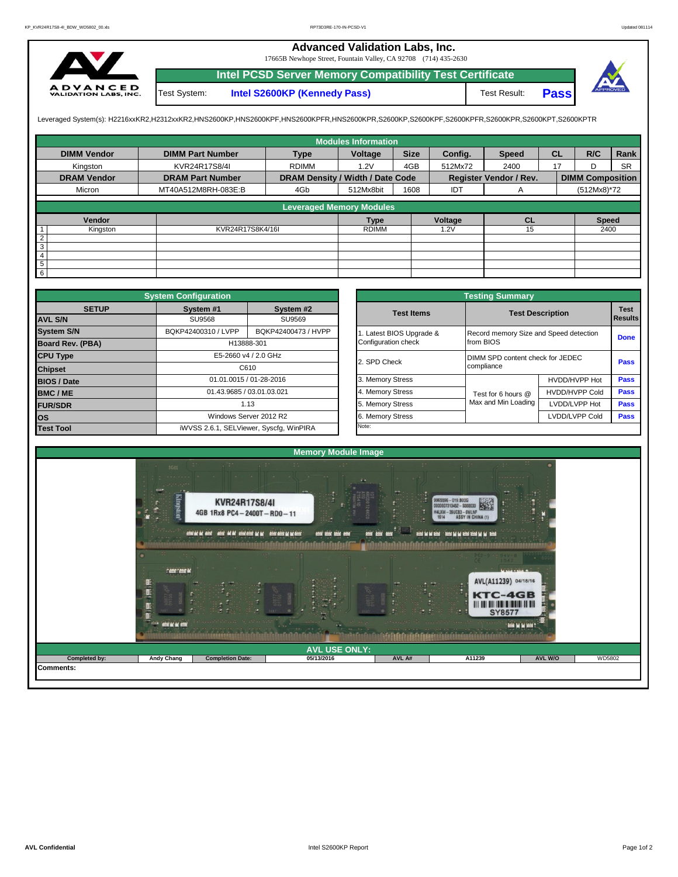## **Advanced Validation Labs, Inc.**

17665B Newhope Street, Fountain Valley, CA 92708 (714) 435-2630



**Intel PCSD Server Memory Compatibility Test Certificate Pass** Test System: **Intel S2600KP (Kennedy Pass)** Test Result:



Leveraged System(s): H2216xxKR2,H2312xxKR2,HNS2600KP,HNS2600KPF,HNS2600KPFR,HNS2600KPR,S2600KP,S2600KPF,S2600KPFR,S2600KPR,S2600KPT,S2600KPTR

|                    |                         |                                  | <b>Modules Information</b> |             |         |                        |           |                         |           |
|--------------------|-------------------------|----------------------------------|----------------------------|-------------|---------|------------------------|-----------|-------------------------|-----------|
| <b>DIMM Vendor</b> | <b>DIMM Part Number</b> | <b>Type</b>                      | Voltage                    | <b>Size</b> | Config. | <b>Speed</b>           | <b>CL</b> | R/C                     | Rank      |
| Kingston           | KVR24R17S8/4I           | <b>RDIMM</b>                     | 1.2V                       | 4GB         | 512Mx72 | 2400                   | 17        | D                       | <b>SR</b> |
| <b>DRAM Vendor</b> | <b>DRAM Part Number</b> | DRAM Density / Width / Date Code |                            |             |         | Register Vendor / Rev. |           | <b>DIMM Composition</b> |           |
| Micron             | MT40A512M8RH-083E:B     | 4Gb                              | 512Mx8bit                  | 1608        | IDT     | A                      |           | (512Mx8)*72             |           |
|                    |                         | <b>Leveraged Memory Modules</b>  |                            |             |         |                        |           |                         |           |
|                    |                         |                                  |                            |             |         |                        |           |                         |           |
| Vendor             |                         |                                  | <b>Type</b>                |             | Voltage | <b>CL</b>              |           | <b>Speed</b>            |           |
| Kingston           | KVR24R17S8K4/16I        |                                  | <b>RDIMM</b>               |             | 1.2V    | 15                     |           | 2400                    |           |
| $\overline{2}$     |                         |                                  |                            |             |         |                        |           |                         |           |
| 3                  |                         |                                  |                            |             |         |                        |           |                         |           |
| $\overline{4}$     |                         |                                  |                            |             |         |                        |           |                         |           |
| $\overline{5}$     |                         |                                  |                            |             |         |                        |           |                         |           |
| $6\overline{6}$    |                         |                                  |                            |             |         |                        |           |                         |           |

|                         | <b>System Configuration</b>             |                         |              | <b>Testing Summary</b> |                                        |                         |             |  |  |  |  |
|-------------------------|-----------------------------------------|-------------------------|--------------|------------------------|----------------------------------------|-------------------------|-------------|--|--|--|--|
| <b>SETUP</b>            | System #1                               | System #2               |              | <b>Test Items</b>      |                                        | <b>Test Description</b> | <b>Test</b> |  |  |  |  |
| <b>AVL S/N</b>          | <b>SU9568</b>                           | SU9569                  |              |                        |                                        | Results                 |             |  |  |  |  |
| <b>System S/N</b>       | BQKP42400310 / LVPP                     | BQKP42400473 / HVPP     |              | Latest BIOS Upgrade &  | Record memory Size and Speed detection |                         | <b>Done</b> |  |  |  |  |
| <b>Board Rev. (PBA)</b> |                                         | H13888-301              |              | Configuration check    | from BIOS                              |                         |             |  |  |  |  |
| <b>CPU Type</b>         | E5-2660 v4 / 2.0 GHz                    |                         | 2. SPD Check |                        | DIMM SPD content check for JEDEC       |                         |             |  |  |  |  |
| <b>Chipset</b>          |                                         | C610                    |              |                        | compliance                             |                         | <b>Pass</b> |  |  |  |  |
| <b>BIOS / Date</b>      |                                         | 01.01.0015 / 01-28-2016 |              | 3. Memory Stress       |                                        | HVDD/HVPP Hot           | <b>Pass</b> |  |  |  |  |
| BMC/ME                  | 01.43.9685 / 03.01.03.021               |                         |              | 4. Memory Stress       | Test for 6 hours @                     | <b>HVDD/HVPP Cold</b>   | Pass        |  |  |  |  |
| <b>FUR/SDR</b>          |                                         | 1.13                    |              | 5. Memory Stress       | Max and Min Loading                    | LVDD/LVPP Hot           | <b>Pass</b> |  |  |  |  |
| los                     |                                         | Windows Server 2012 R2  |              | 6. Memory Stress       |                                        | LVDD/LVPP Cold          | Pass        |  |  |  |  |
| <b>Test Tool</b>        | iWVSS 2.6.1, SELViewer, Syscfq, WinPIRA |                         |              | Note:                  |                                        |                         |             |  |  |  |  |

|              | <b>System Configuration</b> |                                         | <b>Testing Summary</b> |                     |                                                                                                                     |                |  |  |  |  |  |  |  |
|--------------|-----------------------------|-----------------------------------------|------------------------|---------------------|---------------------------------------------------------------------------------------------------------------------|----------------|--|--|--|--|--|--|--|
| <b>SETUP</b> | System #1                   | System #2                               | <b>Test Items</b>      |                     |                                                                                                                     | <b>Test</b>    |  |  |  |  |  |  |  |
|              | <b>SU9568</b>               | SU9569                                  |                        |                     |                                                                                                                     | <b>Results</b> |  |  |  |  |  |  |  |
|              | BQKP42400310 / LVPP         | BQKP42400473 / HVPP                     | Latest BIOS Upgrade &  |                     | Record memory Size and Speed detection                                                                              |                |  |  |  |  |  |  |  |
| PBA)         |                             | H13888-301                              | Configuration check    | from BIOS           |                                                                                                                     |                |  |  |  |  |  |  |  |
|              |                             | E5-2660 v4 / 2.0 GHz                    | 2. SPD Check           |                     | DIMM SPD content check for JEDEC                                                                                    |                |  |  |  |  |  |  |  |
|              |                             | C610                                    |                        | compliance          |                                                                                                                     |                |  |  |  |  |  |  |  |
|              |                             | 01.01.0015 / 01-28-2016                 | 3. Memory Stress       |                     | HVDD/HVPP Hot                                                                                                       | Pass           |  |  |  |  |  |  |  |
|              |                             | 01.43.9685 / 03.01.03.021               | 4. Memory Stress       | Test for 6 hours @  |                                                                                                                     |                |  |  |  |  |  |  |  |
|              |                             | 1.13                                    | 5. Memory Stress       | Max and Min Loading | <b>Test Description</b><br><b>Done</b><br>Pass<br>Pass<br>HVDD/HVPP Cold<br>Pass<br>LVDD/LVPP Hot<br>LVDD/LVPP Cold |                |  |  |  |  |  |  |  |
|              |                             | Windows Server 2012 R2                  | 6. Memory Stress       |                     |                                                                                                                     | <b>Pass</b>    |  |  |  |  |  |  |  |
|              |                             | iWVSS 2.6.1, SELViewer, Syscfq, WinPIRA | Note:                  |                     |                                                                                                                     |                |  |  |  |  |  |  |  |